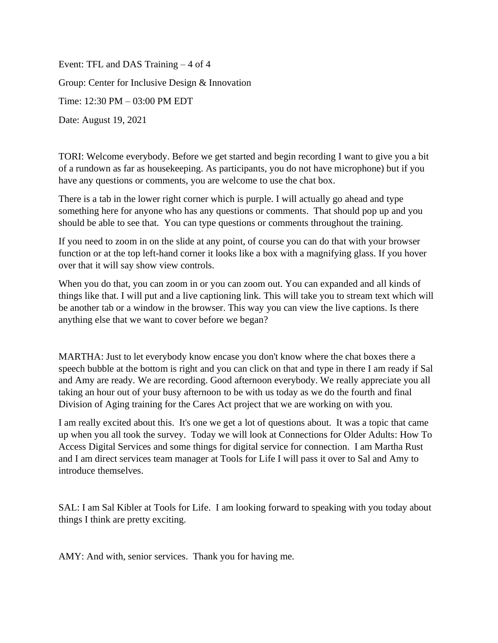Event: TFL and DAS Training – 4 of 4 Group: Center for Inclusive Design & Innovation Time: 12:30 PM – 03:00 PM EDT Date: August 19, 2021

TORI: Welcome everybody. Before we get started and begin recording I want to give you a bit of a rundown as far as housekeeping. As participants, you do not have microphone) but if you have any questions or comments, you are welcome to use the chat box.

There is a tab in the lower right corner which is purple. I will actually go ahead and type something here for anyone who has any questions or comments. That should pop up and you should be able to see that. You can type questions or comments throughout the training.

If you need to zoom in on the slide at any point, of course you can do that with your browser function or at the top left-hand corner it looks like a box with a magnifying glass. If you hover over that it will say show view controls.

When you do that, you can zoom in or you can zoom out. You can expanded and all kinds of things like that. I will put and a live captioning link. This will take you to stream text which will be another tab or a window in the browser. This way you can view the live captions. Is there anything else that we want to cover before we began?

MARTHA: Just to let everybody know encase you don't know where the chat boxes there a speech bubble at the bottom is right and you can click on that and type in there I am ready if Sal and Amy are ready. We are recording. Good afternoon everybody. We really appreciate you all taking an hour out of your busy afternoon to be with us today as we do the fourth and final Division of Aging training for the Cares Act project that we are working on with you.

I am really excited about this. It's one we get a lot of questions about. It was a topic that came up when you all took the survey. Today we will look at Connections for Older Adults: How To Access Digital Services and some things for digital service for connection. I am Martha Rust and I am direct services team manager at Tools for Life I will pass it over to Sal and Amy to introduce themselves.

SAL: I am Sal Kibler at Tools for Life. I am looking forward to speaking with you today about things I think are pretty exciting.

AMY: And with, senior services. Thank you for having me.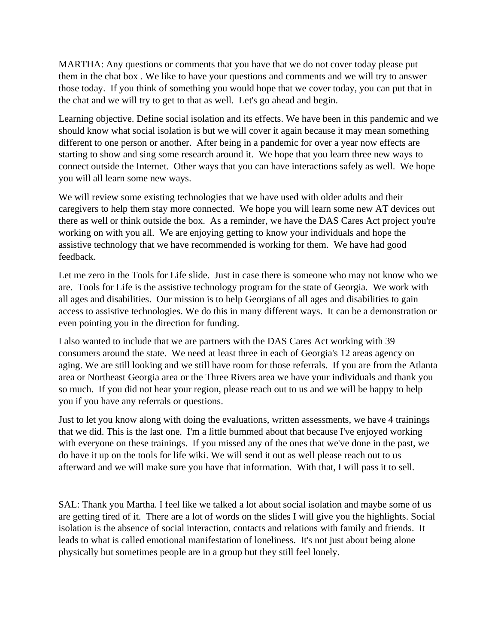MARTHA: Any questions or comments that you have that we do not cover today please put them in the chat box . We like to have your questions and comments and we will try to answer those today. If you think of something you would hope that we cover today, you can put that in the chat and we will try to get to that as well. Let's go ahead and begin.

Learning objective. Define social isolation and its effects. We have been in this pandemic and we should know what social isolation is but we will cover it again because it may mean something different to one person or another. After being in a pandemic for over a year now effects are starting to show and sing some research around it. We hope that you learn three new ways to connect outside the Internet. Other ways that you can have interactions safely as well. We hope you will all learn some new ways.

We will review some existing technologies that we have used with older adults and their caregivers to help them stay more connected. We hope you will learn some new AT devices out there as well or think outside the box. As a reminder, we have the DAS Cares Act project you're working on with you all. We are enjoying getting to know your individuals and hope the assistive technology that we have recommended is working for them. We have had good feedback.

Let me zero in the Tools for Life slide. Just in case there is someone who may not know who we are. Tools for Life is the assistive technology program for the state of Georgia. We work with all ages and disabilities. Our mission is to help Georgians of all ages and disabilities to gain access to assistive technologies. We do this in many different ways. It can be a demonstration or even pointing you in the direction for funding.

I also wanted to include that we are partners with the DAS Cares Act working with 39 consumers around the state. We need at least three in each of Georgia's 12 areas agency on aging. We are still looking and we still have room for those referrals. If you are from the Atlanta area or Northeast Georgia area or the Three Rivers area we have your individuals and thank you so much. If you did not hear your region, please reach out to us and we will be happy to help you if you have any referrals or questions.

Just to let you know along with doing the evaluations, written assessments, we have 4 trainings that we did. This is the last one. I'm a little bummed about that because I've enjoyed working with everyone on these trainings. If you missed any of the ones that we've done in the past, we do have it up on the tools for life wiki. We will send it out as well please reach out to us afterward and we will make sure you have that information. With that, I will pass it to sell.

SAL: Thank you Martha. I feel like we talked a lot about social isolation and maybe some of us are getting tired of it. There are a lot of words on the slides I will give you the highlights. Social isolation is the absence of social interaction, contacts and relations with family and friends. It leads to what is called emotional manifestation of loneliness. It's not just about being alone physically but sometimes people are in a group but they still feel lonely.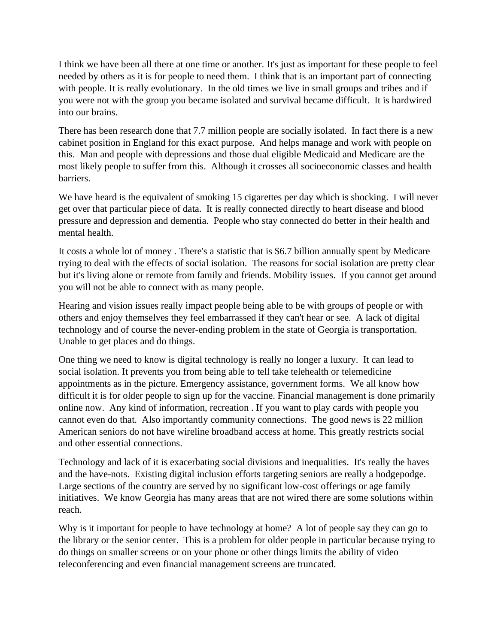I think we have been all there at one time or another. It's just as important for these people to feel needed by others as it is for people to need them. I think that is an important part of connecting with people. It is really evolutionary. In the old times we live in small groups and tribes and if you were not with the group you became isolated and survival became difficult. It is hardwired into our brains.

There has been research done that 7.7 million people are socially isolated. In fact there is a new cabinet position in England for this exact purpose. And helps manage and work with people on this. Man and people with depressions and those dual eligible Medicaid and Medicare are the most likely people to suffer from this. Although it crosses all socioeconomic classes and health barriers.

We have heard is the equivalent of smoking 15 cigarettes per day which is shocking. I will never get over that particular piece of data. It is really connected directly to heart disease and blood pressure and depression and dementia. People who stay connected do better in their health and mental health.

It costs a whole lot of money . There's a statistic that is \$6.7 billion annually spent by Medicare trying to deal with the effects of social isolation. The reasons for social isolation are pretty clear but it's living alone or remote from family and friends. Mobility issues. If you cannot get around you will not be able to connect with as many people.

Hearing and vision issues really impact people being able to be with groups of people or with others and enjoy themselves they feel embarrassed if they can't hear or see. A lack of digital technology and of course the never-ending problem in the state of Georgia is transportation. Unable to get places and do things.

One thing we need to know is digital technology is really no longer a luxury. It can lead to social isolation. It prevents you from being able to tell take telehealth or telemedicine appointments as in the picture. Emergency assistance, government forms. We all know how difficult it is for older people to sign up for the vaccine. Financial management is done primarily online now. Any kind of information, recreation . If you want to play cards with people you cannot even do that. Also importantly community connections. The good news is 22 million American seniors do not have wireline broadband access at home. This greatly restricts social and other essential connections.

Technology and lack of it is exacerbating social divisions and inequalities. It's really the haves and the have-nots. Existing digital inclusion efforts targeting seniors are really a hodgepodge. Large sections of the country are served by no significant low-cost offerings or age family initiatives. We know Georgia has many areas that are not wired there are some solutions within reach.

Why is it important for people to have technology at home? A lot of people say they can go to the library or the senior center. This is a problem for older people in particular because trying to do things on smaller screens or on your phone or other things limits the ability of video teleconferencing and even financial management screens are truncated.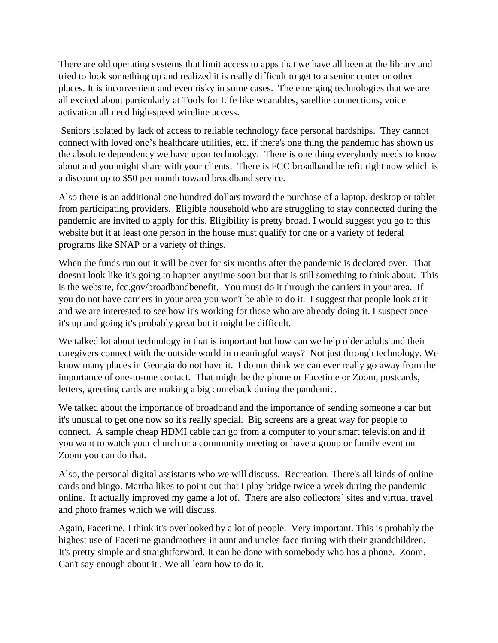There are old operating systems that limit access to apps that we have all been at the library and tried to look something up and realized it is really difficult to get to a senior center or other places. It is inconvenient and even risky in some cases. The emerging technologies that we are all excited about particularly at Tools for Life like wearables, satellite connections, voice activation all need high-speed wireline access.

Seniors isolated by lack of access to reliable technology face personal hardships. They cannot connect with loved one's healthcare utilities, etc. if there's one thing the pandemic has shown us the absolute dependency we have upon technology. There is one thing everybody needs to know about and you might share with your clients. There is FCC broadband benefit right now which is a discount up to \$50 per month toward broadband service.

Also there is an additional one hundred dollars toward the purchase of a laptop, desktop or tablet from participating providers. Eligible household who are struggling to stay connected during the pandemic are invited to apply for this. Eligibility is pretty broad. I would suggest you go to this website but it at least one person in the house must qualify for one or a variety of federal programs like SNAP or a variety of things.

When the funds run out it will be over for six months after the pandemic is declared over. That doesn't look like it's going to happen anytime soon but that is still something to think about. This is the website, fcc.gov/broadbandbenefit. You must do it through the carriers in your area. If you do not have carriers in your area you won't be able to do it. I suggest that people look at it and we are interested to see how it's working for those who are already doing it. I suspect once it's up and going it's probably great but it might be difficult.

We talked lot about technology in that is important but how can we help older adults and their caregivers connect with the outside world in meaningful ways? Not just through technology. We know many places in Georgia do not have it. I do not think we can ever really go away from the importance of one-to-one contact. That might be the phone or Facetime or Zoom, postcards, letters, greeting cards are making a big comeback during the pandemic.

We talked about the importance of broadband and the importance of sending someone a car but it's unusual to get one now so it's really special. Big screens are a great way for people to connect. A sample cheap HDMI cable can go from a computer to your smart television and if you want to watch your church or a community meeting or have a group or family event on Zoom you can do that.

Also, the personal digital assistants who we will discuss. Recreation. There's all kinds of online cards and bingo. Martha likes to point out that I play bridge twice a week during the pandemic online. It actually improved my game a lot of. There are also collectors' sites and virtual travel and photo frames which we will discuss.

Again, Facetime, I think it's overlooked by a lot of people. Very important. This is probably the highest use of Facetime grandmothers in aunt and uncles face timing with their grandchildren. It's pretty simple and straightforward. It can be done with somebody who has a phone. Zoom. Can't say enough about it . We all learn how to do it.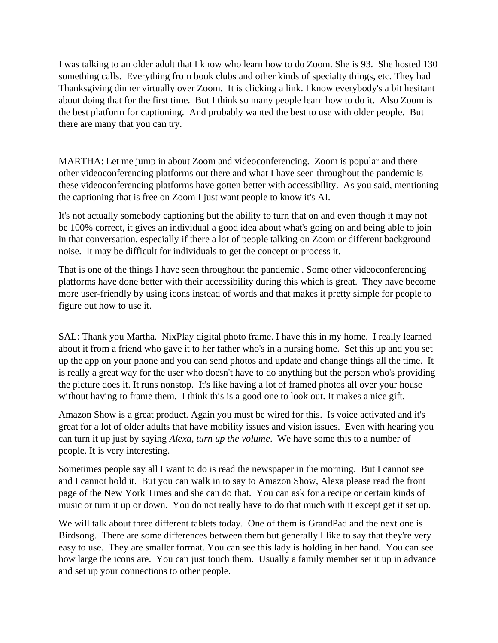I was talking to an older adult that I know who learn how to do Zoom. She is 93. She hosted 130 something calls. Everything from book clubs and other kinds of specialty things, etc. They had Thanksgiving dinner virtually over Zoom. It is clicking a link. I know everybody's a bit hesitant about doing that for the first time. But I think so many people learn how to do it. Also Zoom is the best platform for captioning. And probably wanted the best to use with older people. But there are many that you can try.

MARTHA: Let me jump in about Zoom and videoconferencing. Zoom is popular and there other videoconferencing platforms out there and what I have seen throughout the pandemic is these videoconferencing platforms have gotten better with accessibility. As you said, mentioning the captioning that is free on Zoom I just want people to know it's AI.

It's not actually somebody captioning but the ability to turn that on and even though it may not be 100% correct, it gives an individual a good idea about what's going on and being able to join in that conversation, especially if there a lot of people talking on Zoom or different background noise. It may be difficult for individuals to get the concept or process it.

That is one of the things I have seen throughout the pandemic . Some other videoconferencing platforms have done better with their accessibility during this which is great. They have become more user-friendly by using icons instead of words and that makes it pretty simple for people to figure out how to use it.

SAL: Thank you Martha. NixPlay digital photo frame. I have this in my home. I really learned about it from a friend who gave it to her father who's in a nursing home. Set this up and you set up the app on your phone and you can send photos and update and change things all the time. It is really a great way for the user who doesn't have to do anything but the person who's providing the picture does it. It runs nonstop. It's like having a lot of framed photos all over your house without having to frame them. I think this is a good one to look out. It makes a nice gift.

Amazon Show is a great product. Again you must be wired for this. Is voice activated and it's great for a lot of older adults that have mobility issues and vision issues. Even with hearing you can turn it up just by saying *Alexa, turn up the volume*. We have some this to a number of people. It is very interesting.

Sometimes people say all I want to do is read the newspaper in the morning. But I cannot see and I cannot hold it. But you can walk in to say to Amazon Show, Alexa please read the front page of the New York Times and she can do that. You can ask for a recipe or certain kinds of music or turn it up or down. You do not really have to do that much with it except get it set up.

We will talk about three different tablets today. One of them is GrandPad and the next one is Birdsong. There are some differences between them but generally I like to say that they're very easy to use. They are smaller format. You can see this lady is holding in her hand. You can see how large the icons are. You can just touch them. Usually a family member set it up in advance and set up your connections to other people.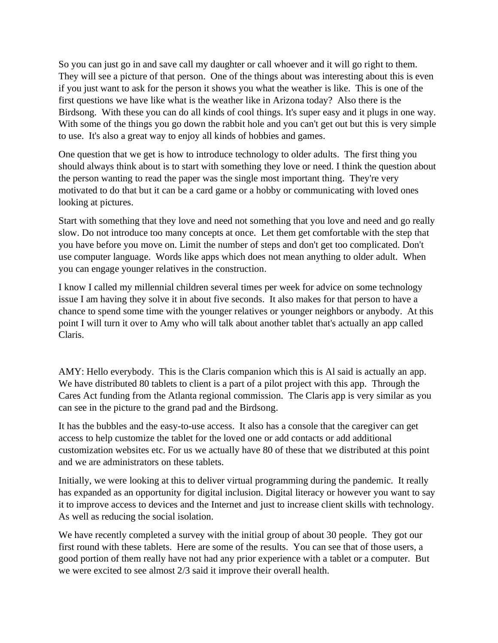So you can just go in and save call my daughter or call whoever and it will go right to them. They will see a picture of that person. One of the things about was interesting about this is even if you just want to ask for the person it shows you what the weather is like. This is one of the first questions we have like what is the weather like in Arizona today? Also there is the Birdsong. With these you can do all kinds of cool things. It's super easy and it plugs in one way. With some of the things you go down the rabbit hole and you can't get out but this is very simple to use. It's also a great way to enjoy all kinds of hobbies and games.

One question that we get is how to introduce technology to older adults. The first thing you should always think about is to start with something they love or need. I think the question about the person wanting to read the paper was the single most important thing. They're very motivated to do that but it can be a card game or a hobby or communicating with loved ones looking at pictures.

Start with something that they love and need not something that you love and need and go really slow. Do not introduce too many concepts at once. Let them get comfortable with the step that you have before you move on. Limit the number of steps and don't get too complicated. Don't use computer language. Words like apps which does not mean anything to older adult. When you can engage younger relatives in the construction.

I know I called my millennial children several times per week for advice on some technology issue I am having they solve it in about five seconds. It also makes for that person to have a chance to spend some time with the younger relatives or younger neighbors or anybody. At this point I will turn it over to Amy who will talk about another tablet that's actually an app called Claris.

AMY: Hello everybody. This is the Claris companion which this is Al said is actually an app. We have distributed 80 tablets to client is a part of a pilot project with this app. Through the Cares Act funding from the Atlanta regional commission. The Claris app is very similar as you can see in the picture to the grand pad and the Birdsong.

It has the bubbles and the easy-to-use access. It also has a console that the caregiver can get access to help customize the tablet for the loved one or add contacts or add additional customization websites etc. For us we actually have 80 of these that we distributed at this point and we are administrators on these tablets.

Initially, we were looking at this to deliver virtual programming during the pandemic. It really has expanded as an opportunity for digital inclusion. Digital literacy or however you want to say it to improve access to devices and the Internet and just to increase client skills with technology. As well as reducing the social isolation.

We have recently completed a survey with the initial group of about 30 people. They got our first round with these tablets. Here are some of the results. You can see that of those users, a good portion of them really have not had any prior experience with a tablet or a computer. But we were excited to see almost 2/3 said it improve their overall health.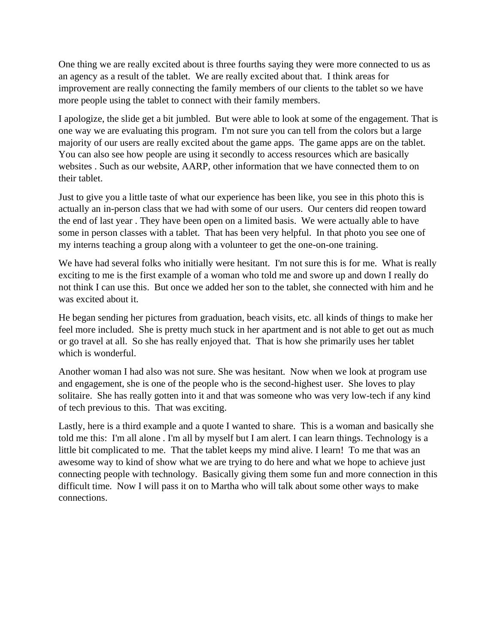One thing we are really excited about is three fourths saying they were more connected to us as an agency as a result of the tablet. We are really excited about that. I think areas for improvement are really connecting the family members of our clients to the tablet so we have more people using the tablet to connect with their family members.

I apologize, the slide get a bit jumbled. But were able to look at some of the engagement. That is one way we are evaluating this program. I'm not sure you can tell from the colors but a large majority of our users are really excited about the game apps. The game apps are on the tablet. You can also see how people are using it secondly to access resources which are basically websites . Such as our website, AARP, other information that we have connected them to on their tablet.

Just to give you a little taste of what our experience has been like, you see in this photo this is actually an in-person class that we had with some of our users. Our centers did reopen toward the end of last year . They have been open on a limited basis. We were actually able to have some in person classes with a tablet. That has been very helpful. In that photo you see one of my interns teaching a group along with a volunteer to get the one-on-one training.

We have had several folks who initially were hesitant. I'm not sure this is for me. What is really exciting to me is the first example of a woman who told me and swore up and down I really do not think I can use this. But once we added her son to the tablet, she connected with him and he was excited about it.

He began sending her pictures from graduation, beach visits, etc. all kinds of things to make her feel more included. She is pretty much stuck in her apartment and is not able to get out as much or go travel at all. So she has really enjoyed that. That is how she primarily uses her tablet which is wonderful.

Another woman I had also was not sure. She was hesitant. Now when we look at program use and engagement, she is one of the people who is the second-highest user. She loves to play solitaire. She has really gotten into it and that was someone who was very low-tech if any kind of tech previous to this. That was exciting.

Lastly, here is a third example and a quote I wanted to share. This is a woman and basically she told me this: I'm all alone . I'm all by myself but I am alert. I can learn things. Technology is a little bit complicated to me. That the tablet keeps my mind alive. I learn! To me that was an awesome way to kind of show what we are trying to do here and what we hope to achieve just connecting people with technology. Basically giving them some fun and more connection in this difficult time. Now I will pass it on to Martha who will talk about some other ways to make connections.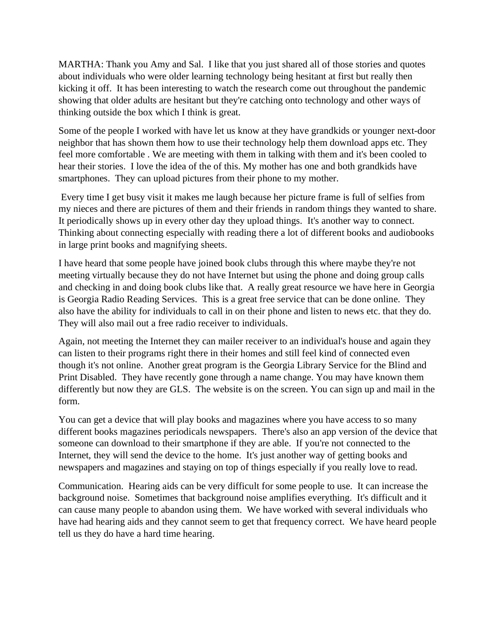MARTHA: Thank you Amy and Sal. I like that you just shared all of those stories and quotes about individuals who were older learning technology being hesitant at first but really then kicking it off. It has been interesting to watch the research come out throughout the pandemic showing that older adults are hesitant but they're catching onto technology and other ways of thinking outside the box which I think is great.

Some of the people I worked with have let us know at they have grandkids or younger next-door neighbor that has shown them how to use their technology help them download apps etc. They feel more comfortable . We are meeting with them in talking with them and it's been cooled to hear their stories. I love the idea of the of this. My mother has one and both grandkids have smartphones. They can upload pictures from their phone to my mother.

Every time I get busy visit it makes me laugh because her picture frame is full of selfies from my nieces and there are pictures of them and their friends in random things they wanted to share. It periodically shows up in every other day they upload things. It's another way to connect. Thinking about connecting especially with reading there a lot of different books and audiobooks in large print books and magnifying sheets.

I have heard that some people have joined book clubs through this where maybe they're not meeting virtually because they do not have Internet but using the phone and doing group calls and checking in and doing book clubs like that. A really great resource we have here in Georgia is Georgia Radio Reading Services. This is a great free service that can be done online. They also have the ability for individuals to call in on their phone and listen to news etc. that they do. They will also mail out a free radio receiver to individuals.

Again, not meeting the Internet they can mailer receiver to an individual's house and again they can listen to their programs right there in their homes and still feel kind of connected even though it's not online. Another great program is the Georgia Library Service for the Blind and Print Disabled. They have recently gone through a name change. You may have known them differently but now they are GLS. The website is on the screen. You can sign up and mail in the form.

You can get a device that will play books and magazines where you have access to so many different books magazines periodicals newspapers. There's also an app version of the device that someone can download to their smartphone if they are able. If you're not connected to the Internet, they will send the device to the home. It's just another way of getting books and newspapers and magazines and staying on top of things especially if you really love to read.

Communication. Hearing aids can be very difficult for some people to use. It can increase the background noise. Sometimes that background noise amplifies everything. It's difficult and it can cause many people to abandon using them. We have worked with several individuals who have had hearing aids and they cannot seem to get that frequency correct. We have heard people tell us they do have a hard time hearing.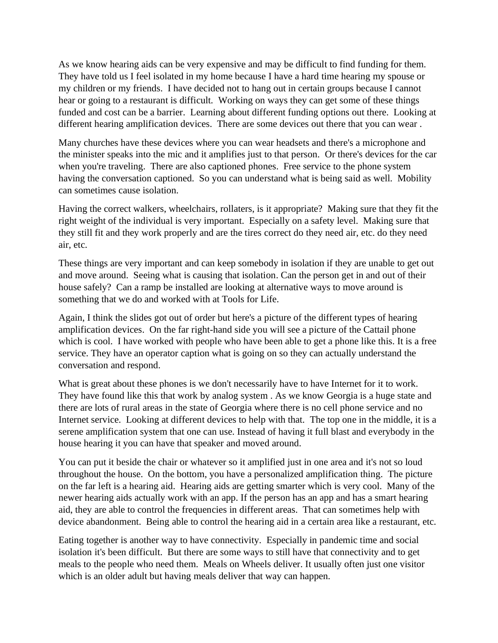As we know hearing aids can be very expensive and may be difficult to find funding for them. They have told us I feel isolated in my home because I have a hard time hearing my spouse or my children or my friends. I have decided not to hang out in certain groups because I cannot hear or going to a restaurant is difficult. Working on ways they can get some of these things funded and cost can be a barrier. Learning about different funding options out there. Looking at different hearing amplification devices. There are some devices out there that you can wear .

Many churches have these devices where you can wear headsets and there's a microphone and the minister speaks into the mic and it amplifies just to that person. Or there's devices for the car when you're traveling. There are also captioned phones. Free service to the phone system having the conversation captioned. So you can understand what is being said as well. Mobility can sometimes cause isolation.

Having the correct walkers, wheelchairs, rollaters, is it appropriate? Making sure that they fit the right weight of the individual is very important. Especially on a safety level. Making sure that they still fit and they work properly and are the tires correct do they need air, etc. do they need air, etc.

These things are very important and can keep somebody in isolation if they are unable to get out and move around. Seeing what is causing that isolation. Can the person get in and out of their house safely? Can a ramp be installed are looking at alternative ways to move around is something that we do and worked with at Tools for Life.

Again, I think the slides got out of order but here's a picture of the different types of hearing amplification devices. On the far right-hand side you will see a picture of the Cattail phone which is cool. I have worked with people who have been able to get a phone like this. It is a free service. They have an operator caption what is going on so they can actually understand the conversation and respond.

What is great about these phones is we don't necessarily have to have Internet for it to work. They have found like this that work by analog system . As we know Georgia is a huge state and there are lots of rural areas in the state of Georgia where there is no cell phone service and no Internet service. Looking at different devices to help with that. The top one in the middle, it is a serene amplification system that one can use. Instead of having it full blast and everybody in the house hearing it you can have that speaker and moved around.

You can put it beside the chair or whatever so it amplified just in one area and it's not so loud throughout the house. On the bottom, you have a personalized amplification thing. The picture on the far left is a hearing aid. Hearing aids are getting smarter which is very cool. Many of the newer hearing aids actually work with an app. If the person has an app and has a smart hearing aid, they are able to control the frequencies in different areas. That can sometimes help with device abandonment. Being able to control the hearing aid in a certain area like a restaurant, etc.

Eating together is another way to have connectivity. Especially in pandemic time and social isolation it's been difficult. But there are some ways to still have that connectivity and to get meals to the people who need them. Meals on Wheels deliver. It usually often just one visitor which is an older adult but having meals deliver that way can happen.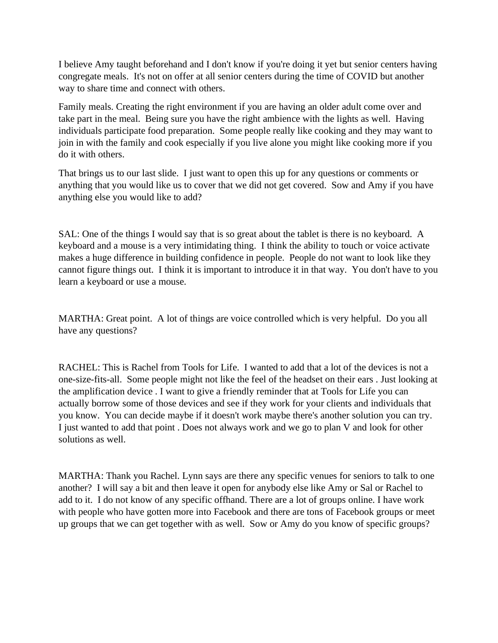I believe Amy taught beforehand and I don't know if you're doing it yet but senior centers having congregate meals. It's not on offer at all senior centers during the time of COVID but another way to share time and connect with others.

Family meals. Creating the right environment if you are having an older adult come over and take part in the meal. Being sure you have the right ambience with the lights as well. Having individuals participate food preparation. Some people really like cooking and they may want to join in with the family and cook especially if you live alone you might like cooking more if you do it with others.

That brings us to our last slide. I just want to open this up for any questions or comments or anything that you would like us to cover that we did not get covered. Sow and Amy if you have anything else you would like to add?

SAL: One of the things I would say that is so great about the tablet is there is no keyboard. A keyboard and a mouse is a very intimidating thing. I think the ability to touch or voice activate makes a huge difference in building confidence in people. People do not want to look like they cannot figure things out. I think it is important to introduce it in that way. You don't have to you learn a keyboard or use a mouse.

MARTHA: Great point. A lot of things are voice controlled which is very helpful. Do you all have any questions?

RACHEL: This is Rachel from Tools for Life. I wanted to add that a lot of the devices is not a one-size-fits-all. Some people might not like the feel of the headset on their ears . Just looking at the amplification device . I want to give a friendly reminder that at Tools for Life you can actually borrow some of those devices and see if they work for your clients and individuals that you know. You can decide maybe if it doesn't work maybe there's another solution you can try. I just wanted to add that point . Does not always work and we go to plan V and look for other solutions as well.

MARTHA: Thank you Rachel. Lynn says are there any specific venues for seniors to talk to one another? I will say a bit and then leave it open for anybody else like Amy or Sal or Rachel to add to it. I do not know of any specific offhand. There are a lot of groups online. I have work with people who have gotten more into Facebook and there are tons of Facebook groups or meet up groups that we can get together with as well. Sow or Amy do you know of specific groups?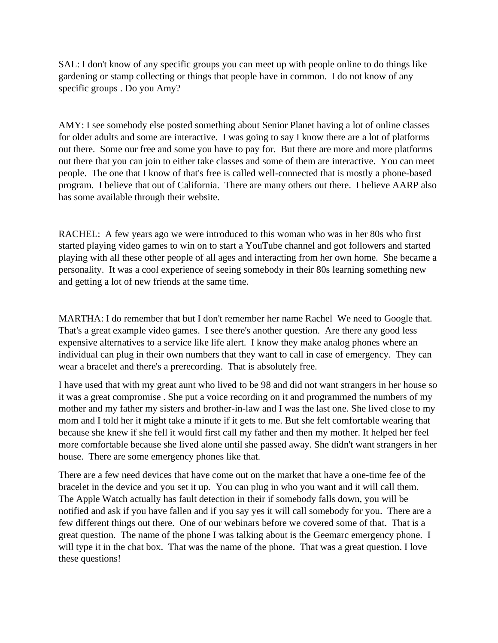SAL: I don't know of any specific groups you can meet up with people online to do things like gardening or stamp collecting or things that people have in common. I do not know of any specific groups . Do you Amy?

AMY: I see somebody else posted something about Senior Planet having a lot of online classes for older adults and some are interactive. I was going to say I know there are a lot of platforms out there. Some our free and some you have to pay for. But there are more and more platforms out there that you can join to either take classes and some of them are interactive. You can meet people. The one that I know of that's free is called well-connected that is mostly a phone-based program. I believe that out of California. There are many others out there. I believe AARP also has some available through their website.

RACHEL: A few years ago we were introduced to this woman who was in her 80s who first started playing video games to win on to start a YouTube channel and got followers and started playing with all these other people of all ages and interacting from her own home. She became a personality. It was a cool experience of seeing somebody in their 80s learning something new and getting a lot of new friends at the same time.

MARTHA: I do remember that but I don't remember her name Rachel We need to Google that. That's a great example video games. I see there's another question. Are there any good less expensive alternatives to a service like life alert. I know they make analog phones where an individual can plug in their own numbers that they want to call in case of emergency. They can wear a bracelet and there's a prerecording. That is absolutely free.

I have used that with my great aunt who lived to be 98 and did not want strangers in her house so it was a great compromise . She put a voice recording on it and programmed the numbers of my mother and my father my sisters and brother-in-law and I was the last one. She lived close to my mom and I told her it might take a minute if it gets to me. But she felt comfortable wearing that because she knew if she fell it would first call my father and then my mother. It helped her feel more comfortable because she lived alone until she passed away. She didn't want strangers in her house. There are some emergency phones like that.

There are a few need devices that have come out on the market that have a one-time fee of the bracelet in the device and you set it up. You can plug in who you want and it will call them. The Apple Watch actually has fault detection in their if somebody falls down, you will be notified and ask if you have fallen and if you say yes it will call somebody for you. There are a few different things out there. One of our webinars before we covered some of that. That is a great question. The name of the phone I was talking about is the Geemarc emergency phone. I will type it in the chat box. That was the name of the phone. That was a great question. I love these questions!